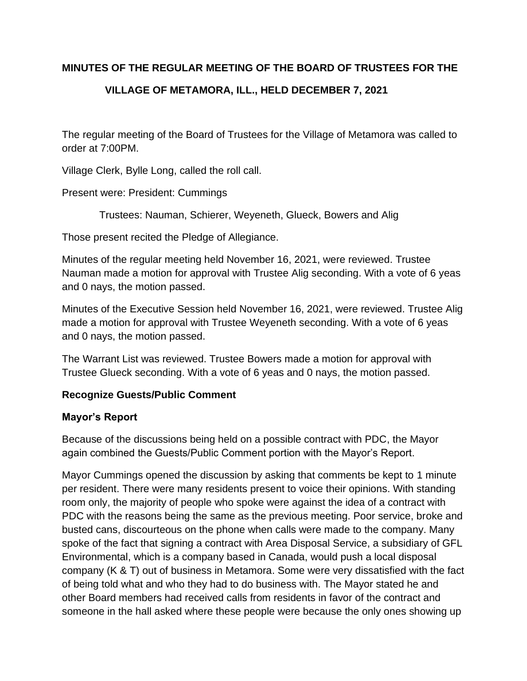## **MINUTES OF THE REGULAR MEETING OF THE BOARD OF TRUSTEES FOR THE**

# **VILLAGE OF METAMORA, ILL., HELD DECEMBER 7, 2021**

The regular meeting of the Board of Trustees for the Village of Metamora was called to order at 7:00PM.

Village Clerk, Bylle Long, called the roll call.

Present were: President: Cummings

Trustees: Nauman, Schierer, Weyeneth, Glueck, Bowers and Alig

Those present recited the Pledge of Allegiance.

Minutes of the regular meeting held November 16, 2021, were reviewed. Trustee Nauman made a motion for approval with Trustee Alig seconding. With a vote of 6 yeas and 0 nays, the motion passed.

Minutes of the Executive Session held November 16, 2021, were reviewed. Trustee Alig made a motion for approval with Trustee Weyeneth seconding. With a vote of 6 yeas and 0 nays, the motion passed.

The Warrant List was reviewed. Trustee Bowers made a motion for approval with Trustee Glueck seconding. With a vote of 6 yeas and 0 nays, the motion passed.

## **Recognize Guests/Public Comment**

#### **Mayor's Report**

Because of the discussions being held on a possible contract with PDC, the Mayor again combined the Guests/Public Comment portion with the Mayor's Report.

Mayor Cummings opened the discussion by asking that comments be kept to 1 minute per resident. There were many residents present to voice their opinions. With standing room only, the majority of people who spoke were against the idea of a contract with PDC with the reasons being the same as the previous meeting. Poor service, broke and busted cans, discourteous on the phone when calls were made to the company. Many spoke of the fact that signing a contract with Area Disposal Service, a subsidiary of GFL Environmental, which is a company based in Canada, would push a local disposal company (K & T) out of business in Metamora. Some were very dissatisfied with the fact of being told what and who they had to do business with. The Mayor stated he and other Board members had received calls from residents in favor of the contract and someone in the hall asked where these people were because the only ones showing up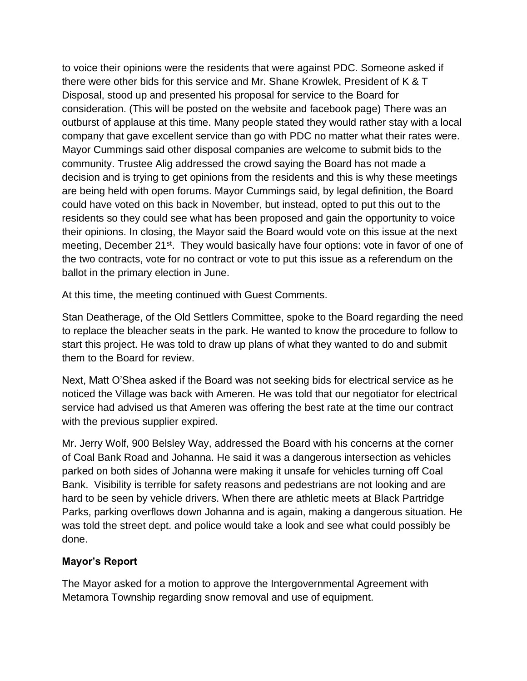to voice their opinions were the residents that were against PDC. Someone asked if there were other bids for this service and Mr. Shane Krowlek, President of K & T Disposal, stood up and presented his proposal for service to the Board for consideration. (This will be posted on the website and facebook page) There was an outburst of applause at this time. Many people stated they would rather stay with a local company that gave excellent service than go with PDC no matter what their rates were. Mayor Cummings said other disposal companies are welcome to submit bids to the community. Trustee Alig addressed the crowd saying the Board has not made a decision and is trying to get opinions from the residents and this is why these meetings are being held with open forums. Mayor Cummings said, by legal definition, the Board could have voted on this back in November, but instead, opted to put this out to the residents so they could see what has been proposed and gain the opportunity to voice their opinions. In closing, the Mayor said the Board would vote on this issue at the next meeting, December 21<sup>st</sup>. They would basically have four options: vote in favor of one of the two contracts, vote for no contract or vote to put this issue as a referendum on the ballot in the primary election in June.

At this time, the meeting continued with Guest Comments.

Stan Deatherage, of the Old Settlers Committee, spoke to the Board regarding the need to replace the bleacher seats in the park. He wanted to know the procedure to follow to start this project. He was told to draw up plans of what they wanted to do and submit them to the Board for review.

Next, Matt O'Shea asked if the Board was not seeking bids for electrical service as he noticed the Village was back with Ameren. He was told that our negotiator for electrical service had advised us that Ameren was offering the best rate at the time our contract with the previous supplier expired.

Mr. Jerry Wolf, 900 Belsley Way, addressed the Board with his concerns at the corner of Coal Bank Road and Johanna. He said it was a dangerous intersection as vehicles parked on both sides of Johanna were making it unsafe for vehicles turning off Coal Bank. Visibility is terrible for safety reasons and pedestrians are not looking and are hard to be seen by vehicle drivers. When there are athletic meets at Black Partridge Parks, parking overflows down Johanna and is again, making a dangerous situation. He was told the street dept. and police would take a look and see what could possibly be done.

#### **Mayor's Report**

The Mayor asked for a motion to approve the Intergovernmental Agreement with Metamora Township regarding snow removal and use of equipment.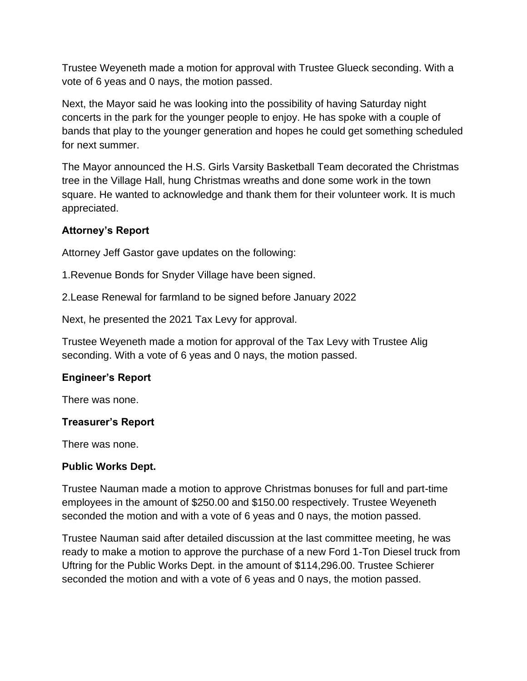Trustee Weyeneth made a motion for approval with Trustee Glueck seconding. With a vote of 6 yeas and 0 nays, the motion passed.

Next, the Mayor said he was looking into the possibility of having Saturday night concerts in the park for the younger people to enjoy. He has spoke with a couple of bands that play to the younger generation and hopes he could get something scheduled for next summer.

The Mayor announced the H.S. Girls Varsity Basketball Team decorated the Christmas tree in the Village Hall, hung Christmas wreaths and done some work in the town square. He wanted to acknowledge and thank them for their volunteer work. It is much appreciated.

# **Attorney's Report**

Attorney Jeff Gastor gave updates on the following:

1.Revenue Bonds for Snyder Village have been signed.

2.Lease Renewal for farmland to be signed before January 2022

Next, he presented the 2021 Tax Levy for approval.

Trustee Weyeneth made a motion for approval of the Tax Levy with Trustee Alig seconding. With a vote of 6 yeas and 0 nays, the motion passed.

## **Engineer's Report**

There was none.

## **Treasurer's Report**

There was none.

#### **Public Works Dept.**

Trustee Nauman made a motion to approve Christmas bonuses for full and part-time employees in the amount of \$250.00 and \$150.00 respectively. Trustee Weyeneth seconded the motion and with a vote of 6 yeas and 0 nays, the motion passed.

Trustee Nauman said after detailed discussion at the last committee meeting, he was ready to make a motion to approve the purchase of a new Ford 1-Ton Diesel truck from Uftring for the Public Works Dept. in the amount of \$114,296.00. Trustee Schierer seconded the motion and with a vote of 6 yeas and 0 nays, the motion passed.